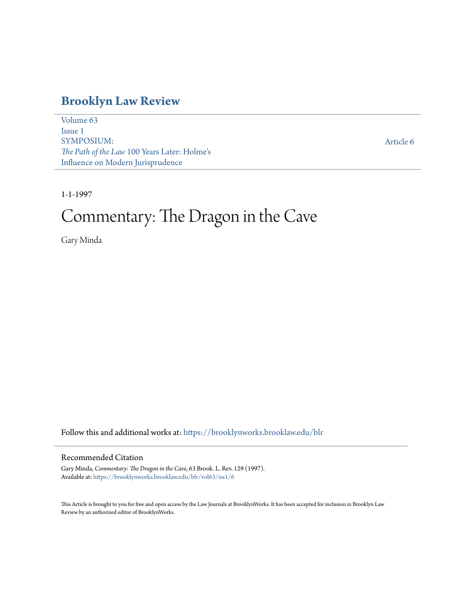## **[Brooklyn Law Review](https://brooklynworks.brooklaw.edu/blr?utm_source=brooklynworks.brooklaw.edu%2Fblr%2Fvol63%2Fiss1%2F6&utm_medium=PDF&utm_campaign=PDFCoverPages)**

[Volume 63](https://brooklynworks.brooklaw.edu/blr/vol63?utm_source=brooklynworks.brooklaw.edu%2Fblr%2Fvol63%2Fiss1%2F6&utm_medium=PDF&utm_campaign=PDFCoverPages) [Issue 1](https://brooklynworks.brooklaw.edu/blr/vol63/iss1?utm_source=brooklynworks.brooklaw.edu%2Fblr%2Fvol63%2Fiss1%2F6&utm_medium=PDF&utm_campaign=PDFCoverPages) SYMPOSIUM: *The Path of the Law* 100 Years Later: Holme's Influence on Modern Jurisprudence

[Article 6](https://brooklynworks.brooklaw.edu/blr/vol63/iss1/6?utm_source=brooklynworks.brooklaw.edu%2Fblr%2Fvol63%2Fiss1%2F6&utm_medium=PDF&utm_campaign=PDFCoverPages)

1-1-1997

# Commentary: The Dragon in the Cave

Gary Minda

Follow this and additional works at: [https://brooklynworks.brooklaw.edu/blr](https://brooklynworks.brooklaw.edu/blr?utm_source=brooklynworks.brooklaw.edu%2Fblr%2Fvol63%2Fiss1%2F6&utm_medium=PDF&utm_campaign=PDFCoverPages)

#### Recommended Citation

Gary Minda, *Commentary: The Dragon in the Cave*, 63 Brook. L. Rev. 129 (1997). Available at: [https://brooklynworks.brooklaw.edu/blr/vol63/iss1/6](https://brooklynworks.brooklaw.edu/blr/vol63/iss1/6?utm_source=brooklynworks.brooklaw.edu%2Fblr%2Fvol63%2Fiss1%2F6&utm_medium=PDF&utm_campaign=PDFCoverPages)

This Article is brought to you for free and open access by the Law Journals at BrooklynWorks. It has been accepted for inclusion in Brooklyn Law Review by an authorized editor of BrooklynWorks.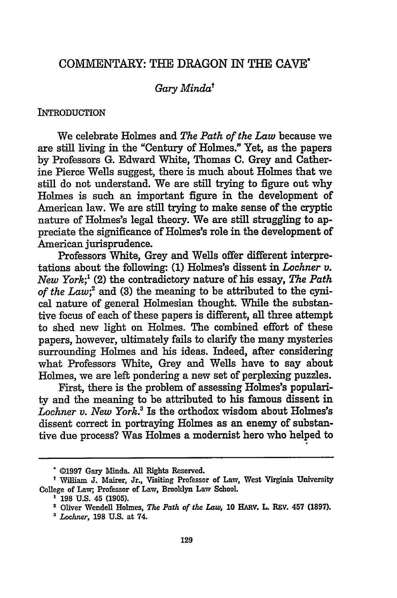### COMMENTARY: THE DRAGON IN THE **CAVE'**

#### *Gary Mindat*

#### **INTRODUCTION**

We celebrate Holmes and *The Path of the Law* because we are still living in the "Century of Holmes." Yet, as the papers by Professors G. Edward White, Thomas C. Grey and Catherine Pierce Wells suggest, there is much about Holmes that we still do not understand. We are still trying to figure out why Holmes is such an important figure in the development of American law. We are still trying to make sense of the cryptic nature of Holmes's legal theory. We are still struggling to appreciate the significance of Holmes's role in the development of American jurisprudence.

Professors White, Grey and Wells offer different interpretations about the following: (1) Holmes's dissent in *Lochner v. New York;'* (2) the contradictory nature of his essay, *The Path of the Law*;<sup>2</sup> and (3) the meaning to be attributed to the cynical nature of general Holmesian thought. While the substantive focus of each of these papers is different, all three attempt to shed new light on Holmes. The combined effort of these papers, however, ultimately fails to clarify the many mysteries surrounding Holmes and his ideas. Indeed, after considering what Professors White, Grey and Wells have to say about Holmes, we are left pondering a new set of perplexing puzzles.

First, there is the problem of assessing Holmes's popularity and the meaning to be attributed to his famous dissent in *Lochner v. New York.3* Is the orthodox wisdom about Holmes's dissent correct in portraying Holmes as an enemy of substantive due process? Was Holmes a modernist hero who helped to

**<sup>©1997</sup>** Gary Minda. All Rights Reserved.

William **J.** Mairer, Jr., Visiting Professor of Law, West Virginia University College of Law; Professor of Law, Brooklyn Law School

**<sup>198</sup> U.S. 45 (1905).**

**<sup>2</sup>** Oliver Wendell Holmes, *The Path of the Law,* **10** HARV. L. **REV. 457 (1897).**

*<sup>&#</sup>x27;Lochner,* 198 U.S. at 74.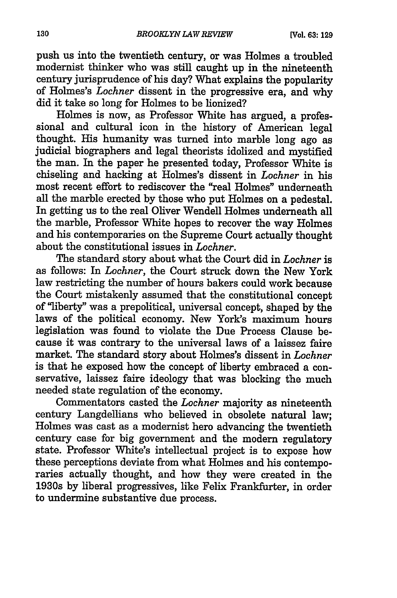push us into the twentieth century, or was Holmes a troubled modernist thinker who was still caught up in the nineteenth century jurisprudence of his day? What explains the popularity of Holmes's *Lochner* dissent in the progressive era, and why did it take so long for Holmes to be lionized?

Holmes is now, as Professor White has argued, a professional and cultural icon in the history of American legal thought. His humanity was turned into marble long ago as judicial biographers and legal theorists idolized and mystified the man. In the paper he presented today, Professor White is chiseling and hacking at Holmes's dissent in *Lochner* in his most recent effort to rediscover the "real Holmes" underneath all the marble erected by those who put Holmes on a pedestal. In getting us to the real Oliver Wendell Holmes underneath all the marble, Professor White hopes to recover the way Holmes and his contemporaries on the Supreme Court actually thought about the constitutional issues in *Lochner.*

The standard story about what the Court did in *Lochner* is as follows: In *Lochner,* the Court struck down the New York law restricting the number of hours bakers could work because the Court mistakenly assumed that the constitutional concept of "liberty" was a prepolitical, universal concept, shaped by the laws of the political economy. New York's maximum hours legislation was found to violate the Due Process Clause because it was contrary to the universal laws of a laissez faire market. The standard story about Holmes's dissent in *Lochner* is that he exposed how the concept of liberty embraced a conservative, laissez faire ideology that was blocking the much needed state regulation of the economy.

Commentators casted the *Lochner* majority as nineteenth century Langdellians who believed in obsolete natural law; Holmes was cast as a modernist hero advancing the twentieth century case for big government and the modern regulatory state. Professor White's intellectual project is to expose how these perceptions deviate from what Holmes and his contemporaries actually thought, and how they were created in the 1930s by liberal progressives, like Felix Frankfurter, in order to undermine substantive due process.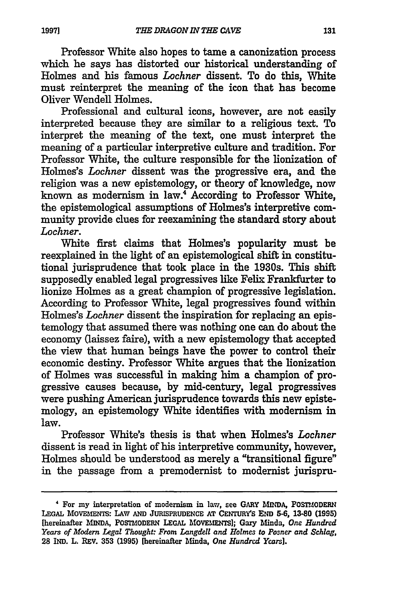131

Professor White also hopes to tame a canonization process which he says has distorted our historical understanding of Holmes and his famous *Lochner* dissent. To do this, White must reinterpret the meaning of the icon that has become Oliver Wendell Holmes.

Professional and cultural icons, however, are not easily interpreted because they are similar to a religious text. To interpret the meaning of the text, one must interpret the meaning of a particular interpretive culture and tradition. For Professor White, the culture responsible for the lionization of Holmes's *Lochner* dissent was the progressive era, and the religion was a new epistemology, or theory of knowledge, now known as modernism in law.4 According to Professor White, the epistemological assumptions of Holmes's interpretive community provide clues for reexamining the standard story about *Lochner.*

White first claims that Holmes's popularity must be reexplained in the light of an epistemological shift in constitutional jurisprudence that took place in the 1930s. This shift supposedly enabled legal progressives like Felix Frankfurter to lionize Holmes as a great champion of progressive legislation. According to Professor White, legal progressives found within Holmes's *Lochner* dissent the inspiration for replacing an epistemology that assumed there was nothing one can do about the economy (laissez faire), with a new epistemology that accepted the view that human beings have the power to control their economic destiny. Professor White argues that the lionization of Holmes was successful in making him a champion of progressive causes because, **by** mid-century, legal progressives were pushing American jurisprudence towards this new epistemology, an epistemology White identifies with modernism in law.

Professor White's thesis is that when Holmes's *Lochner* dissent is read in light of his interpretive community, however, Holmes should be understood as merely a "transitional figure" in the passage from a premodernist to modernist jurispru-

<sup>&#</sup>x27; For my interpretation of modernism in law, see GARY **MINDA,** POSTMODERN **LEGAL MOVEMENTS:** LAW **AND JURISPRUDENCE AT CENTURYS END 5-6, 13-80 (1995)** [hereinafter INvDA, POSTMODERN LEGAL **IOVELETS];** Gary Minda, *One Hundred Years of Modern Legal Thought: From Langdell and Holmes to Posner and Schlag,* **28** IND. L. REV. 353 (1995) [hereinafter Minda, *One Hundred Years].*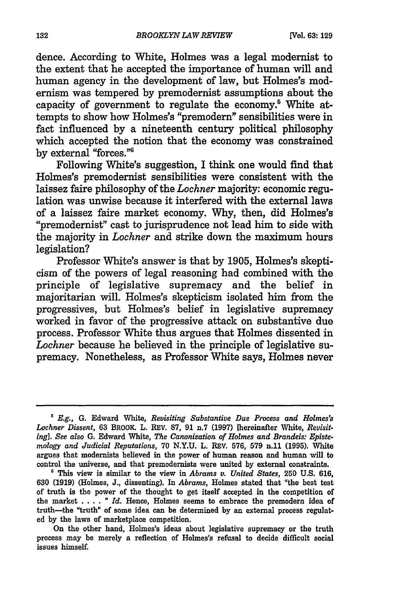dence. According to White, Holmes was a legal modernist to the extent that he accepted the importance of human will and human agency in the development of law, but Holmes's modernism was tempered by premodernist assumptions about the capacity of government to regulate the economy.<sup>5</sup> White attempts to show how Holmes's "premodern" sensibilities were in fact influenced by a nineteenth century political philosophy which accepted the notion that the economy was constrained by external "forces."<sup>6</sup>

Following White's suggestion, I think one would find that Holmes's premodernist sensibilities were consistent with the laissez faire philosophy of the *Lochner* majority: economic regulation was unwise because it interfered with the external laws of a laissez faire market economy. Why, then, did Holmes's "premodernist" cast to jurisprudence not lead him to side with the majority in *Lochner* and strike down the maximum hours legislation?

Professor White's answer is that by 1905, Holmes's skepticism of the powers of legal reasoning had combined with the principle of legislative supremacy and the belief in majoritarian will. Holmes's skepticism isolated him from the progressives, but Holmes's belief in legislative supremacy worked in favor of the progressive attack on substantive due process. Professor White thus argues that Holmes dissented in *Lochner* because he believed in the principle of legislative supremacy. Nonetheless, as Professor White says, Holmes never

**<sup>,</sup>** *E.g.,* **G.** Edward White, *Revisiting Substantive Due Process and Holmes's Lochner Dissent,* 63 BROOK. L. REV. **87, 91** n.7 **(1997)** [hereinafter White, *Revisit. ing]. See also* **G.** Edward White, *The Canonization of Holmes and Brandeis: Epistemology and Judicial Reputations,* 70 N.Y.U. L. REv. 576, **579** n.11 (1995). White argues that modernists believed in the power of human reason and human will to control the universe, and that premodernists were united by external constraints.

**<sup>&#</sup>x27;** This view is similar to the view in *Abrams v. United States,* **250** U.S. 616, **630** (1919) (Holmes, J., dissenting). In *Abrams,* Holmes stated that "the best test of truth is the power of the thought to get itself accepted in the competition of the market . **. .** . **"** *Id.* Hence, Holmes seems to embrace the premodern idea of truth-the "truth" of some idea can be determined by an external process regulated by the laws of marketplace competition.

On the other hand, Holmes's ideas about legislative supremacy or the truth process may be merely a reflection of Holmes's refusal to decide difficult social issues himself.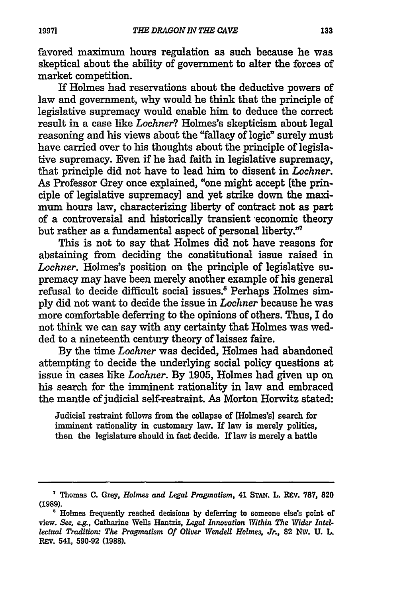favored maximum hours regulation as such because he was skeptical about the ability of government to alter the forces of market competition.

**If** Holmes had reservations about the deductive powers of law and government, why would he think that the principle of legislative supremacy would enable him to deduce the correct result in a case like *Lochner?* Holmes's skepticism about legal reasoning and his views about the "fallacy of logic" surely must have carried over to his thoughts about the principle of legislative supremacy. Even if he had faith in legislative supremacy, that principle did not have to lead him to dissent in *Lochner.* As Professor Grey once explained, "one might accept [the principle of legislative supremacy] and yet strike down the maxi**mum** hours law, characterizing liberty of contract not as part of a controversial and historically transient -economic theory but rather as a fundamental aspect of personal liberty."7

This is not to say that Holmes did not have reasons for abstaining from deciding the constitutional issue raised in *Lochner.* Holmes's position on the principle of legislative supremacy may have been merely another example of his general refusal to decide difficult social issues.' Perhaps Holmes sim**ply** did not want to decide the issue in *Lochner* because he was more comfortable deferring to the opinions of others. Thus, I do not think we can say with any certainty that Holmes was wedded to a nineteenth century theory of laissez faire.

**By** the time *Lochner* was decided, Holmes had abandoned attempting to decide the underlying social policy questions at issue in cases like *Lochner.* **By 1905,** Holmes had given up on his search for the imminent rationality in law and embraced the mantle of judicial self-restraint. As Morton Horwitz stated:

Judicial restraint follows from the collapse of [Holmes's] search for imminent rationality in customary law. If law is merely politics, then the legislature should in fact decide. If law is merely a battle

133

Thomas **C.** Grey, *Holmes and Legal Pragmatism,* 41 **STAN. L.** REV. **787, 820 (1989).**

<sup>&</sup>lt;sup>8</sup> Holmes frequently reached decisions by deferring to someone else's point of view. *See, e.g.,* Catharine Wells Hantzis, *Legal Innovation Within The Wider Intellectual Tradition: The Pragmatism Of Oliver Wendell Holmes, Jr.,* **82 NW. U.** L. REv. 541, **590-92 (1988).**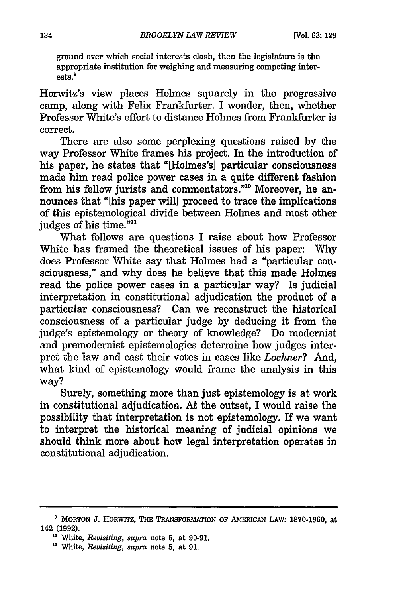ground over which social interests clash, then the legislature is the appropriate institution for weighing and measuring competing interests.9

Horwitz's view places Holmes squarely in the progressive camp, along with Felix Frankfurter. I wonder, then, whether Professor White's effort to distance Holmes from Frankfurter is correct.

There are also some perplexing questions raised **by** the way Professor White frames his project. In the introduction of his paper, he states that "[Holmes's] particular consciousness made him read police power cases in a quite different fashion from his fellow jurists and commentators."<sup>10</sup> Moreover, he announces that "[his paper will] proceed to trace the implications of this epistemological divide between Holmes and most other judges of his time."<sup>11</sup>

What follows are questions I raise about how Professor White has framed the theoretical issues of his paper: **Why** does Professor White say that Holmes had a "particular consciousness," and why does he believe that this made Holmes read the police power cases in a particular way? Is judicial interpretation in constitutional adjudication the product of a particular consciousness? Can we reconstruct the historical consciousness of a particular judge **by** deducing it from the judge's epistemology or theory of knowledge? Do modernist and premodernist epistemologies determine how judges interpret the law and cast their votes in cases like *Lochner?* And, what kind of epistemology would frame the analysis in this way?

Surely, something more than just epistemology is at work in constitutional adjudication. At the outset, I would raise the possibility that interpretation is not epistemology. If we want to interpret the historical meaning of judicial opinions we should think more about how legal interpretation operates in constitutional adjudication.

**<sup>9</sup>** MORTON **J.** HORwITZ, **THE TRANSFOPIATION** OF AMERICAN LAW: 1870-1960, at 142 **(1992).**

**<sup>10</sup>***White, Revisiting, supra* note **5,** at **90-91.**

*<sup>.</sup>* White, *Revisiting, supra* note **5,** at 91.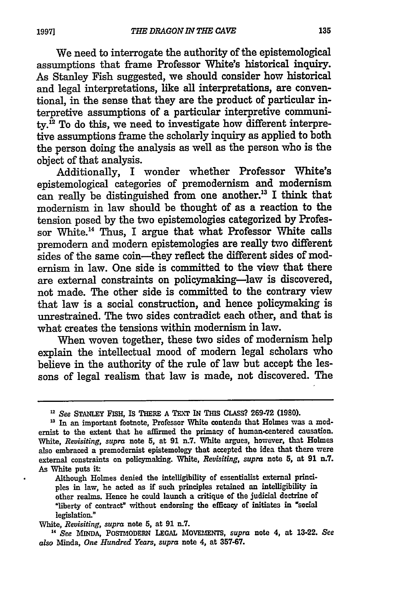We need to interrogate the authority of the epistemological assumptions that frame Professor White's historical inquiry. As Stanley Fish suggested, we should consider how historical and legal interpretations, like all interpretations, are conventional, in the sense that they are the product of particular interpretive assumptions of a particular interpretive communi $ty<sup>12</sup>$  To do this, we need to investigate how different interpretive assumptions frame the scholarly inquiry as applied to both the person doing the analysis as well as the person who is the object of that analysis.

Additionally, I wonder whether Professor White's epistemological categories of premodernism and modernism can really be distinguished from one another.'3 I think that modernism in law should be thought of as a reaction to the tension posed by the two epistemologies categorized by Professor White.'4 Thus, I argue that what Professor White calls premodern and modern epistemologies are really two different sides of the same coin-they reflect the different sides of modernism in law. One side is committed to the view that there are external constraints on policymaking-law is discovered, not made. The other side is committed to the contrary view that law is a social construction, and hence policymaking is unrestrained. The two sides contradict each other, and that is what creates the tensions within modernism in law.

When woven together, these two sides of modernism help explain the intellectual mood of modern legal scholars who believe in the authority of the rule of law but accept the lessons of legal realism that law is made, not discovered. The

Although Holmes denied the intelligibility of essentialist external principles in law, he acted as **if** such principles retained an intelligibility in other realms. Hence he could launch a critique of the judicial doctrine of "liberty of contract" without endorsing the efficacy of initiates in 'social legislation."

White, *Revisiting, supra* note **5,** at **91** n.7.

**<sup>1</sup>***See* **MINDA,** POSTMODERN **LEGAL MOVELIENT,** *supra* note *4,* at **13-22.** *See also* Minda, *One Hundred Years, supra* note 4, at **357-67.**

*<sup>&</sup>quot;See* STANLEY FISH, **IS** THERE **A** TEXT **IN** THIS CLASs?. **269-72 (1980).**

<sup>&</sup>lt;sup>13</sup> In an important footnote, Professor White contends that Holmes was a modernist to the extent that he affirmed the primacy of human-centered causation. White, *Revisiting, supra* note **5,** at **91** n.7. White argues, however, that Holmes also embraced a premodernist epistemology that accepted the idea that there were external constraints **on** policymaking. White, *Revisiting, supra* note 5, at **91 n.7.** As White puts **it.**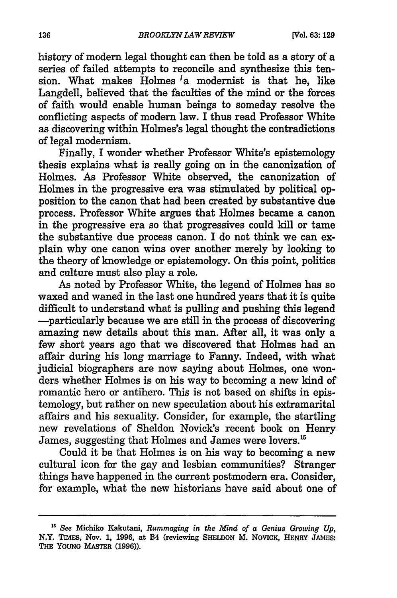history of modern legal thought can then be told as a story of a series of failed attempts to reconcile and synthesize this tension. What makes  $\overline{H}$ olmes  $\overline{I}$ a modernist is that he, like Langdell, believed that the faculties of the mind or the forces of faith would enable human beings to someday resolve the confficting aspects of modern law. I thus read Professor White as discovering within Holmes's legal thought the contradictions of legal modernism.

Finally, I wonder whether Professor White's epistemology thesis explains what is really going on in the canonization of Holmes. As Professor White observed, the canonization of Holmes in the progressive era was stimulated by political opposition to the canon that had been created by substantive due process. Professor White argues that Holmes became a canon in the progressive era so that progressives could kill or tame the substantive due process canon. I do not think we can explain why one canon wins over another merely by looking to the theory of knowledge or epistemology. On this point, politics and culture must also play a role.

As noted by Professor White, the legend of Holmes has so waxed and waned in the last one hundred years that it is quite difficult to understand what is pulling and pushing this legend -particularly because we are still in the process of discovering amazing new details about this man. After all, it was only a few short years ago that we discovered that Holmes had an affair during his long marriage to Fanny. Indeed, with what judicial biographers are now saying about Holmes, one wonders whether Holmes is on his way to becoming a new kind of romantic hero or antihero. This is not based on shifts in epistemology, but rather on new speculation about his extramarital affairs and his sexuality. Consider, for example, the startling new revelations of Sheldon Novick's recent book on Henry James, suggesting that Holmes and James were lovers.<sup>15</sup>

Could it be that Holmes is on his way to becoming a new cultural icon for the gay and lesbian communities? Stranger things have happened in the current postmodern era. Consider, for example, what the new historians have said about one of

*<sup>5</sup> See* **Michiko** Kakutani, *Rummaging in the Mind of a Genius Growing Up,* **N.Y. TIMES, Nov. 1, 1996, at B4 (reviewing SHELDON** M. **NOVICK,** HENRY **JAMEs: THE YOUNG MASTER (1996)).**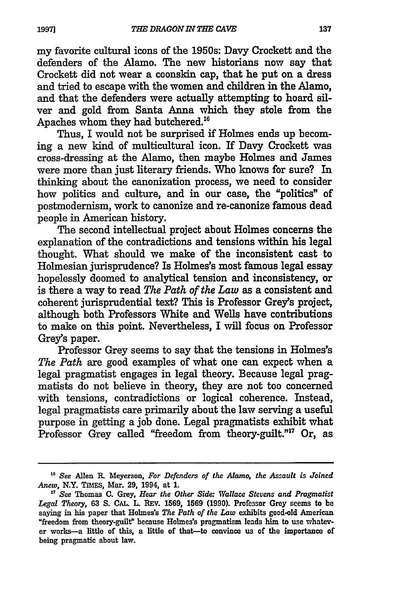my favorite cultural icons of the 1950s: Davy Crockett and the defenders of the Alamo. The new historians now say that Crockett did not wear a coonskin cap, that he put on a dress and tried to escape with the women and children in the Alamo, and that the defenders were actually attempting to hoard silver and gold from Santa Anna which they stole from the Apaches whom they had butchered."

Thus, I would not be surprised if Holmes ends up becoming a new kind of multicultural icon. If Davy Crockett was cross-dressing at the Alamo, then maybe Holmes and James were more than just literary friends. Who knows for sure? In thinking about the canonization process, we need to consider how politics and culture, and in our case, the "politics" of postmodernism, work to canonize and re-canonize famous dead people in American history.

The second intellectual project about Holmes concerns the explanation of the contradictions and tensions within his legal thought. What should we make of the inconsistent cast to Holmesian jurisprudence? Is Holmes's most famous legal essay hopelessly doomed to analytical tension and inconsistency, or is there a way to read *The Path of the Law* as a consistent and coherent jurisprudential text? This is Professor Grey's project, although both Professors White and Wells have contributions to make on this point. Nevertheless, I will focus on Professor Grey's paper.

Professor Grey seems to say that the tensions in Holmes's *The Path* are good examples of what one can expect when a legal pragmatist engages in legal theory. Because legal pragmatists do not believe in theory, they are not too concerned with tensions, contradictions or logical coherence. Instead, legal pragmatists care primarily about the law serving a useful purpose in getting a **job** done. Legal pragmatists exhibit what Professor Grey called "freedom from theory-guilt."<sup>17</sup> Or, as

*<sup>&</sup>quot;' See* Allen *R.* Meyerson, *For Defenders of the Alamo, the Assault is Joined Anew,* N.Y. **TmES,** Mar. **29,** 1994, at **1.**

*<sup>&</sup>quot;7* See Thomas **C.** Grey, *Hear the Other Side. Wallace Steuens and Pragmatist Legal Theory,* **63 S. CAL.** L. REV. **1569, 1569 (1990).** Professor Grey **seems** to be saying in his paper that Holmes's *The Path of the Law* exhibits good-old American "freedom from theory-guilt" because Holmes's pragmatism leads him to use whatever works-a little of this, a little of that-to convince us of the importance of being pragmatic about law.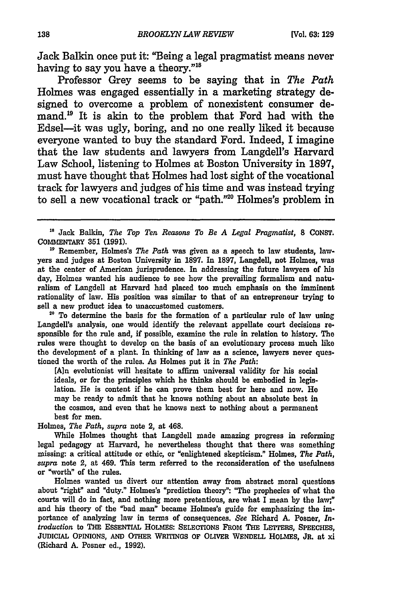Jack Balkin once put it: "Being a legal pragmatist means never having to say you have a theory."<sup>18</sup>

Professor Grey seems to be saying that in *The Path* Holmes was engaged essentially in a marketing strategy designed to overcome a problem of nonexistent consumer demand.<sup>19</sup> It is akin to the problem that Ford had with the Edsel-it was ugly, boring, and no one really liked it because everyone wanted to buy the standard Ford. Indeed, I imagine that the law students and lawyers from Langdell's Harvard Law School, listening to Holmes at Boston University in **1897,** must have thought that Holmes had lost sight of the vocational track for lawyers and judges of his time and was instead trying to sell a new vocational track or "path."" Holmes's problem in

**"** Remember, Holmes's *The Path* was given as a speech to law students, lawyers and judges at Boston University in **1897.** In **1897,** Langdell, not Holmes, was at the center of American jurisprudence. In addressing the future lawyers of his day, Holmes wanted his audience to see how the prevailing formalism and naturalism of Langdell at Harvard had placed too much emphasis on the imminent rationality of law. His position was similar to that of an entrepreneur trying to sell a new product idea to unaccustomed customers.

**20** To determine the basis for the formation of a particular rule of law using Langdell's analysis, one would identify the relevant appellate court decisions responsible for the rule and, if possible, examine the rule in relation to history. The rules were thought to develop on the basis of an evolutionary process much like the development of a plant. In thinking of law as a science, lawyers never questioned the worth of the rules. As Holmes put it in *The Path:*

**[Alan** evolutionist will hesitate to affirm universal validity for his social ideals, or for the principles which he thinks should be embodied in legislation. He is content if he can prove them best for here and now. He may be ready to admit that he knows nothing about an absolute best in the cosmos, and even that he knows next to nothing about a permanent best for men.

Holmes, *The Path, supra* note 2, at 468.

While Holmes thought that Langdell made amazing progress in reforming legal pedagogy at Harvard, he nevertheless thought that there was something missing- a critical attitude or ethic, or "enlightened skepticism." Holmes, *The Path, supra* note 2, at 469. This term referred to the reconsideration of the usefulness or "worth" of the rules.

Holmes wanted us divert our attention away from abstract moral questions about "right" and "duty." Holmes's "prediction theory": "The prophecies of what the courts will do in fact, and nothing more pretentious, are what I mean **by** the law;" and his theory of the "bad man" became Holmes's guide for emphasizing the importance of analyzing law in terms of consequences. *See* Richard **A.** Posner, *In. troduction* to THE ESSENTIAL HOLMES: SELECTIONS FROM THE LETTERS, SPEECHES, **JUDICIAL** OPINIONS, **AND** OTHER **WRITINGS** OF OLIVER WENDELL HOLMES, **JR.** at xi (Richard **A.** Posner ed., **1992).**

<sup>&</sup>lt;sup>18</sup> Jack Balkin, *The Top Ten Reasons To Be A Legal Pragmatist*, 8 CONST. COMMENTARY **351 (1991).**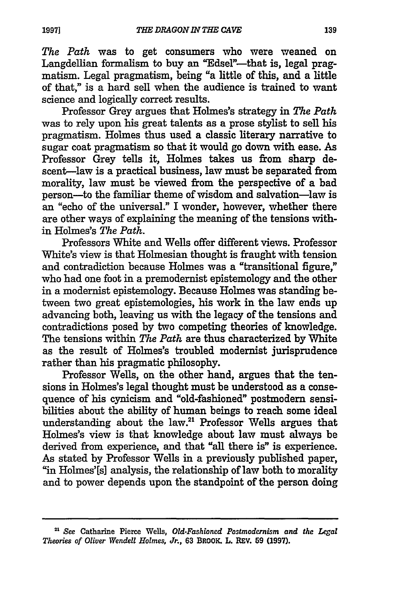*The Path* was to get consumers who were weaned on Langdellian formalism to buy an "Edsel"-that is, legal pragmatism. Legal pragmatism, being "a little of this, and a little of that," is a hard sell when the audience is trained to want science and logically correct results.

Professor Grey argues that Holmes's strategy in *The Path* was to rely upon his great talents as a prose stylist to sell his pragmatism. Holmes thus used a classic literary narrative to sugar coat pragmatism so that it would go down with ease. As Professor Grey tells it, Holmes takes us from sharp descent-law is a practical business, law must be separated from morality, law must be viewed from the perspective of a bad person-to the familiar theme of wisdom and salvation-law is an "echo of the universal." I wonder, however, whether there are other ways of explaining the meaning of the tensions within Holmes's *The Path.*

Professors White and Wells offer different views. Professor White's view is that Holmesian thought is fraught with tension and contradiction because Holmes was a "transitional figure," who had one foot in a premodernist epistemology and the other in a modernist epistemology. Because Holmes was standing between two great epistemologies, his work in the law ends up advancing both, leaving us with the legacy of the tensions and contradictions posed **by** two competing theories of knowledge. The tensions within *The Path* are thus characterized **by** White as the result of Holmes's troubled modernist jurisprudence rather than his pragmatic philosophy.

Professor Wells, on the other hand, argues that the tensions in Holmes's legal thought must be understood as a consequence of his cynicism and "old-fashioned" postmodern sensibilities about the ability of human beings to reach some ideal understanding about the law.<sup>21</sup> Professor Wells argues that Holmes's view is that knowledge about law must always be derived from experience, and that "all there is" is experience. As stated **by** Professor Wells in a previously published paper, "in Holmes'[s] analysis, the relationship of law both to morality and to power depends upon the standpoint of the person doing

**<sup>21</sup>***See* Catharine Pierce Wells, *Old.Fashioned Postmodernism and the Legal Theories of Oliver Wendell Holmes, Jr.,* **63** BROOK. L. REV. **59 (1997).**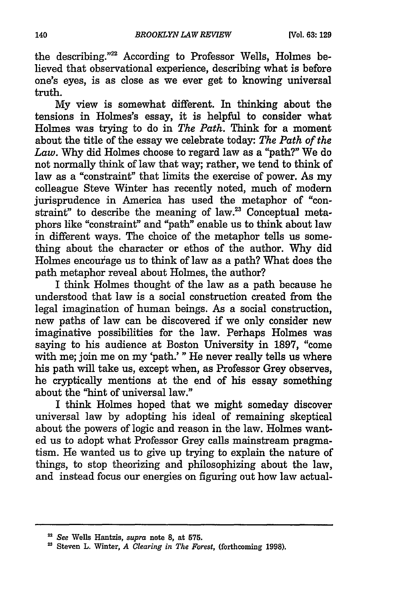the describing."22 According to Professor Wells, Holmes believed that observational experience, describing what is before one's eyes, is as close as we ever get to knowing universal truth.

**My** view is somewhat different. In thinking about the tensions in Holmes's essay, it is helpful to consider what Holmes was trying to do in *The Path.* Think for a moment about the title of the essay we celebrate today: *The Path of the Law.* **Why** did Holmes choose to regard law as a "path?" We do not normally think of law that way; rather, we tend to think of law as a "constraint" that limits the exercise of power. As my colleague Steve Winter has recently noted, much of modem jurisprudence in America has used the metaphor of "constraint" to describe the meaning of law. $23$  Conceptual metaphors like "constraint" and "path" enable us to think about law in different ways. The choice of the metaphor tells us something about the character or ethos of the author. **Why** did Holmes encourage us to think of law as a path? What does the path metaphor reveal about Holmes, the author?

I think Holmes thought of the law as a path because he understood that law is a social construction created from the legal imagination of human beings. As a social construction, new paths of law can be discovered if we only consider new imaginative possibilities for the law. Perhaps Holmes was saying to his audience at Boston University in 1897, "come with me; join me on my 'path.' **"** He never really tells us where his path will take us, except when, as Professor Grey observes, he cryptically mentions at the end of his essay something about the "hint of universal law."

I think Holmes hoped that we might someday discover universal law by adopting his ideal of remaining skeptical about the powers of logic and reason in the law. Holmes wanted us to adopt what Professor Grey calls mainstream pragmatism. He wanted us to give up trying to explain the nature of things, to stop theorizing and philosophizing about the law, and instead focus our energies on figuring out how law actual-

*See* Wells Hantzis, *supra* note **8,** at **575.**

Steven L. Winter, *A Clearing in The Forest,* (forthcoming **1998).**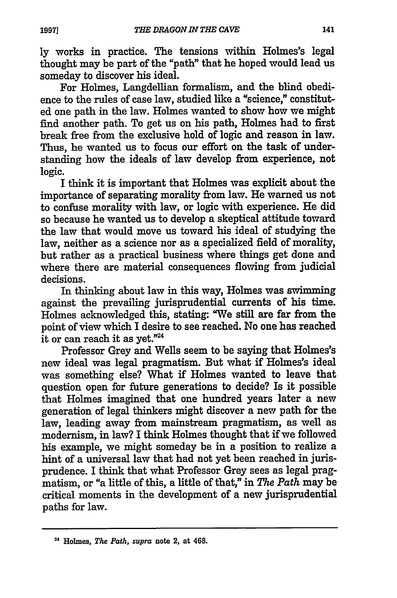ly works in practice. The tensions within Holmes's legal thought may be part of the "path" that he hoped would lead us someday to discover his ideal.

For Holmes, Langdellian formalism, and the blind obedience to the rules of case law, studied like a "science," constituted one path in the law. Holmes wanted to show how we might find another path. To get us on his path, Holmes had to first break free from the exclusive hold of logic and reason in law. Thus, he wanted us to focus our effort on the task of understanding how the ideals of law develop from experience, not logic.

I think it is important that Holmes was explicit about the importance of separating morality from law. He warned us not to confuse morality with law, or logic with experience. He did so because he wanted us to develop a skeptical attitude toward the law that would move us toward his ideal of studying the law, neither as a science nor as a specialized field of morality, but rather as a practical business where things get done and where there are material consequences flowing from judicial decisions.

In thinking about law in this way, Holmes was swimming against the prevailing jurisprudential currents of his time. Holmes acknowledged this, stating: "We still are far from the point of view which I desire to see reached. No one has reached it or can reach it as yet."<sup>24</sup>

Professor Grey and Wells seem to be saying that Holmes's new ideal was legal pragmatism. But what if Holmes's ideal was something else? What if Holmes wanted to leave that question open for future generations to decide? Is it possible that Holmes imagined that one hundred years later a new generation of legal thinkers might discover a new path for the law, leading away from mainstream pragmatism, as well as modernism, in law? I think Holmes thought that if we followed his example, we might someday be in a position to realize a hint of a universal law that had not yet been reached in jurisprudence. I think that what Professor Grey sees as legal pragmatism, or "a little of this, a little of that," in *The Path* may be critical moments in the development of a new jurisprudential paths for law.

**<sup>4</sup>**Holmes, *The Path, supra* note 2, at 468.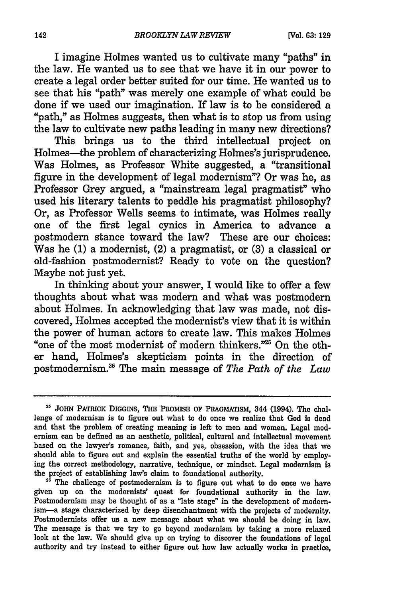I imagine Holmes wanted us to cultivate many "paths" in the law. He wanted us to see that we have it in our power to create a legal order better suited for our time. He wanted us to see that his "path" was merely one example of what could be done if we used our imagination. If law is to be considered a "path." as Holmes suggests, then what is to stop us from using the law to cultivate new paths leading in many new directions?

This brings us to the third intellectual project on Holmes-the problem of characterizing Holmes's jurisprudence. Was Holmes, as Professor White suggested, a "transitional figure in the development of legal modernism"? Or was he, as Professor Grey argued, a "mainstream legal pragmatist" who used his literary talents to peddle his pragmatist philosophy? Or, as Professor Wells seems to intimate, was Holmes really one of the first legal cynics in America to advance a postmodern stance toward the law? These are our choices: Was he **(1)** a modernist, (2) a pragmatist, or **(3)** a classical or old-fashion postmodernist? Ready to vote on the question? Maybe not just yet.

In thinking about your answer, I would like to offer a few thoughts about what was modern and what was postmodern about Holmes. In acknowledging that law was made, not discovered, Holmes accepted the modernist's view that it is within the power of human actors to create law. This makes Holmes "one of the most modernist of modern thinkers."<sup>25</sup> On the other hand, Holmes's skepticism points in the direction of postmodernism.26 The main message of *The Path of the Law*

<sup>26</sup> The challenge of postmodernism is to figure out what to do once we have given up on the modernists' quest for foundational authority in the law. Postmodernism may be thought of as a "late stage" in the development of modernism-a stage characterized **by** deep disenchantment with the projects of modernity. Postmodernists offer us a new message about what we should be doing in law. The message is that we try to go beyond modernism **by** taking a more relaxed look at the law. We should give up on trying to discover the foundations of legal authority and try instead to either figure out how law actually works in practice,

<sup>&</sup>lt;sup>25</sup> JOHN PATRICK DIGGINS, THE PROMISE OF PRAGMATISM, 344 (1994). The challenge of modernism is to figure out what to do once we realize that God **is** dead and that the problem of creating meaning is left to men and women. Legal modernism can be defined as an aesthetic, political, cultural and intellectual movement based on the lawyer's romance, faith, and yes, obsession, with the idea that we should able to figure out and explain the essential truths of the world **by** employing the correct methodology, narrative, technique, or mindset. Legal modernism is the project of establishing law's claim to foundational authority.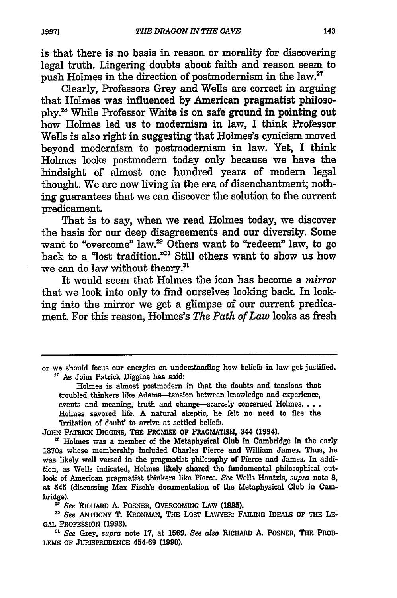is that there is no basis in reason or morality for discovering legal truth. Lingering doubts about faith and reason seem to push Holmes in the direction of postmodernism in the law. $^{27}$ 

Clearly, Professors Grey and Wells are correct in arguing that Holmes was influenced by American pragmatist philosophy.<sup>28</sup> While Professor White is on safe ground in pointing out how Holmes led us to modernism in law, I think Professor Wells is also right in suggesting that Holmes's cynicism moved beyond modernism to postmodernism in law. Yet, I think Holmes looks postmodern today only because we have the hindsight of almost one hundred years of modern legal thought. We are now living in the era of disenchantment; nothing guarantees that we can discover the solution to the current predicament.

That is to say, when we read Holmes today, we discover the basis for our deep disagreements and our diversity. Some want to "overcome" law.<sup>29</sup> Others want to "redeem" law, to go back to a "lost tradition."<sup>30</sup> Still others want to show us how we can do law without theory.<sup>31</sup>

It would seem that Holmes the icon has become a *mirror* that we look into only to find ourselves looking back. In looking into the mirror we get a glimpse of our current predicament. For this reason, Holmes's *The Path of Law* looks as fresh

Holmes is almost postmodern in that the doubts and tensions that troubled thinkers like Adams--tension between knowledge and experience, events and meaning, truth and change-scarcely concerned Holmes.... Holmes savored life. A natural skeptic, he felt no need to flee the 'irritation of doubt' to arrive at settled beliefs.

**JOHN** PATRICK **DIGGINS, THE PROMISE** OF PRAGMATISM, 344 (1994).

<sup>28</sup> Holmes was a member of the Metaphysical Club in Cambridge in the early 1870s whose membership included Charles Pierce and William James. Thus, he was likely well versed in the pragmatist philosophy of Pierce and James. In addition, as Wells indicated, Holmes likely shared the fundamental philosophical outlook of American pragmatist thinkers like Pierce. See Wells Hantzis, *supra* note **8, at** 545 (discussing Max Fisch's documentation of the Metaphysical Club in Cambridge).

*See* RICHARD **A.** POSNER, **OVERCOMING LAW (1995).**

*30 See* ANTHONY T. KRONMAN, THE LOST LAWYERI **FAILING** IDEALS OF THE **LE-GAL** PROFESSION **(1993).**

*", See* Grey, *supra* note **17,** at **1569.** *See also* RICHARD A. POSNER, **THE PROB-**LEMS OF JURISPRUDENCE 454-69 (1990).

or we should focus our energies on understanding how beliefs in law get justified. As John Patrick Diggins has said: